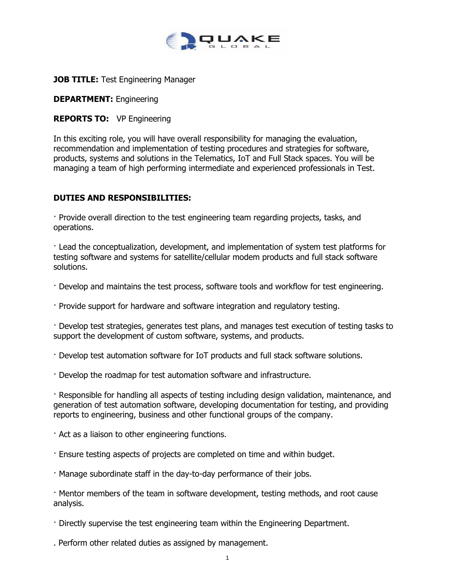

## **JOB TITLE: Test Engineering Manager**

**DEPARTMENT:** Engineering

## **REPORTS TO:** VP Engineering

In this exciting role, you will have overall responsibility for managing the evaluation, recommendation and implementation of testing procedures and strategies for software, products, systems and solutions in the Telematics, IoT and Full Stack spaces. You will be managing a team of high performing intermediate and experienced professionals in Test.

## **DUTIES AND RESPONSIBILITIES:**

· Provide overall direction to the test engineering team regarding projects, tasks, and operations.

· Lead the conceptualization, development, and implementation of system test platforms for testing software and systems for satellite/cellular modem products and full stack software solutions.

- · Develop and maintains the test process, software tools and workflow for test engineering.
- · Provide support for hardware and software integration and regulatory testing.

· Develop test strategies, generates test plans, and manages test execution of testing tasks to support the development of custom software, systems, and products.

- · Develop test automation software for IoT products and full stack software solutions.
- · Develop the roadmap for test automation software and infrastructure.

· Responsible for handling all aspects of testing including design validation, maintenance, and generation of test automation software, developing documentation for testing, and providing reports to engineering, business and other functional groups of the company.

- · Act as a liaison to other engineering functions.
- · Ensure testing aspects of projects are completed on time and within budget.
- · Manage subordinate staff in the day-to-day performance of their jobs.

· Mentor members of the team in software development, testing methods, and root cause analysis.

- · Directly supervise the test engineering team within the Engineering Department.
- . Perform other related duties as assigned by management.